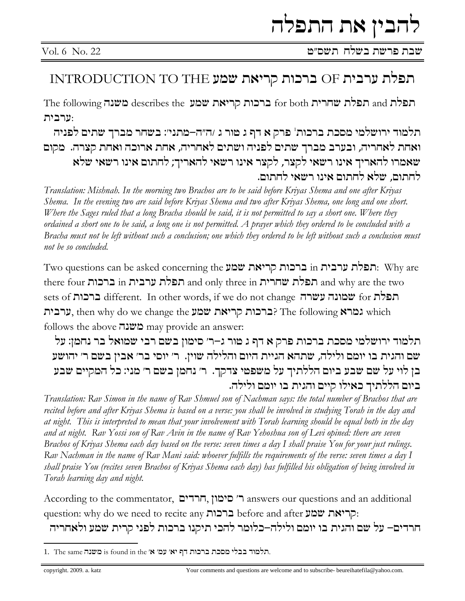שבת פרשת בשלח. תשם״ט

## תפלת ערבית OF ברכות קריאת שמע INTRODUCTION TO THE

תפלת and תפלת שחרית for both ברכות קריאת שמע describes the משנה The following ערבית:

תלמוד ירושלמי מסכת ברכות' פרק א דף ג טור ג /ה״ה–מתני׳: בשחר מברך שתים לפניה ואחת לאחריה, ובערב מברך שתים לפניה ושתים לאחריה, אחת ארוכה ואחת קצרה. מקום שאמרו להאריך אינו רשאי לקצר, לקצר אינו רשאי להאריך; לחתום אינו רשאי שלא לחתום. שלא לחתום אינו רשאי לחתום.

Translation: Mishnah. In the morning two Brachos are to be said before Kriyas Shema and one after Kriyas Shema. In the evening two are said before Kriyas Shema and two after Kriyas Shema, one long and one short. Where the Sages ruled that a long Bracha should be said, it is not permitted to say a short one. Where they ordained a short one to be said, a long one is not permitted. A prayer which they ordered to be concluded with a Bracha must not be left without such a conclusion; one which they ordered to be left without such a conclusion must not be so concluded.

Two questions can be asked concerning the הפלת ערבית in ברכות in הפלת הפלת ה there four תפלת ערבית and only three in הפלת שחרית and why are the two sets of שמונה עשרה different. In other words, if we do not change ערבית, then why do we change the קריאת שמע The following גמרא which follows the above משנה may provide an answer:

תלמוד ירושלמי מסכת ברכות פרק א דף ג טור ג–ר׳ סימון בשם רבי שמואל בר נחמן: על שם והגית בו יומם ולילה, שתהא הגיית היום והלילה שוין. ר׳ יוסי בר׳ אבין בשם ר׳ יהושע בן לוי על שם שבע ביום הללתיך על משפטי צדקך. ר׳ נחמן בשם ר׳ מני: כל המקיים שבע ביום הללתיך כאילו קיים והגית בו יומם ולילה.

Translation: Rav Simon in the name of Rav Shmuel son of Nachman says: the total number of Brachos that are recited before and after Kriyas Shema is based on a verse: you shall be involved in studying Torah in the day and at night. This is interpreted to mean that your involvement with Torah learning should be equal both in the day and at night. Rav Yossi son of Rav Avin in the name of Rav Yehoshua son of Levi opined: there are seven Brachos of Kriyas Shema each day based on the verse: seven times a day I shall praise You for your just rulings. Rav Nachman in the name of Rav Mani said: whoever fulfills the requirements of the verse: seven times a day I shall praise You (recites seven Brachos of Kriyas Shema each day) has fulfilled his obligation of being involved in Torah learning day and night.

According to the commentator, הרדים, nswers our questions and an additional :קריאת שמע before and after ברכות before and after כרכות הרדים– על שם והגית בו יומם ולילה–כלומר להכי תיקנו ברכות לפני קרית שמע ולאחריה

<sup>1.</sup> The same שעה is found in the 'א׳ עמ׳ א׳ עמ׳ איז בבלי מסכת ברכות דף.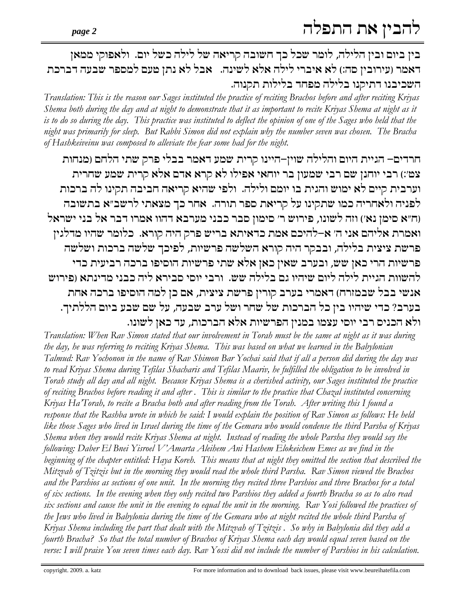בין ביום ובין הלילה, לומר שכל כך חשובה קריאה של לילה כשל יום. ולאפוקי ממאן דאמר (עירובין סה:) לא איברי לילה אלא לשינה. אבל לא נתן טעם למספר שבעה דברכת השכיבנו דתיקנו בלילה מפחד בלילות תקנוה.

Translation: This is the reason our Sages instituted the practice of reciting Brachos before and after reciting Kriyas Shema both during the day and at night to demonstrate that it as important to recite Kriyas Shema at night as it is to do so during the day. This practice was instituted to deflect the opinion of one of the Sages who held that the night was primarily for sleep. But Rabbi Simon did not explain why the number seven was chosen. The Bracha of Hashkeiveinu was composed to alleviate the fear some had for the night.

חרדים– הגיית היום והלילה שוין–היינו קרית שמע דאמר בבלי פרק שתי הלחם (מנחות צט׳:) רבי יוחנן שם רבי שמעון בר יוחאי אפילו לא קרא אדם אלא קרית שמע שחרית וערבית קיים לא ימוש והגית בו יומם ולילה. ולפי שהיא קריאה חביבה תקינו לה ברכות לפניה ולאחריה כמו שתקינו על קריאת ספר תורה. אחר כך מצאתי לרשב״א בתשובה (ח״א סימן נא׳) וזה לשונו, פירוש ר׳ סימון סבר כבני מערבא דהוו אמרו דבר אל בני ישראל ואמרת אליהם אני ה׳ א–להיכם אמת כדאיתא בריש פרק היה קורא. כלומר שהיו מדלגין פרשת ציצית בלילה, ובבקר היה קורא השלשה פרשיות, לפיכך שלשה ברכות ושלשה פרשיות הרי כאז שש, ובערב שאיז כאז אלא שתי פרשיות הוסיפו ברכה רביעית כדי להשוות הגיית לילה ליום שיהיו גם בלילה שש. ורבי יוסי סבירא ליה כבני מדינתא (פירוש אנשי בבל שבמזרח) דאמרי בערב קורין פרשת ציצית, אם כן למה הוסיפו ברכה אחת בערב? כדי שיהיו בין כל הברכות של שחר ושל ערב שבעה, על שם שבע ביום הללתיך. ולא הכנים רבי יוםי עצמו במנין הפרשיות אלא הברכות, עד כאן לשונו.

Translation: When Rav Simon stated that our involvement in Torah must be the same at night as it was during the day, he was referring to reciting Kriyas Shema. This was based on what we learned in the Babylonian Talmud: Rav Yochonon in the name of Rav Shimon Bar Yochai said that if all a person did during the day was to read Kriyas Shema during Tefilas Shacharis and Tefilas Maariv, he fulfilled the obligation to be involved in Torah study all day and all night. Because Kriyas Shema is a cherished activity, our Sages instituted the practice of reciting Brachos before reading it and after. This is similar to the practice that Chazal instituted concerning Kriyas Ha'Torah, to recite a Bracha both and after reading from the Torah. After writing this I found a response that the Rashba wrote in which he said: I would explain the position of Rav Simon as follows: He held like those Sages who lived in Israel during the time of the Gemara who would condense the third Parsha of Kriyas Shema when they would recite Kriyas Shema at night. Instead of reading the whole Parsha they would say the following: Daber El Bnei Yisroel V'Amarta Aleihem Ani Hashem Elokeichem Emes as we find in the beginning of the chapter entitled: Haya Koreh. This means that at night they omitted the section that described the Mitzvah of Tzitzis but in the morning they would read the whole third Parsha. Rav Simon viewed the Brachos and the Parshios as sections of one unit. In the morning they recited three Parshios and three Brachos for a total of six sections. In the evening when they only recited two Parshios they added a fourth Bracha so as to also read six sections and cause the unit in the evening to equal the unit in the morning. Rav Yosi followed the practices of the Jews who lived in Babylonia during the time of the Gemara who at night recited the whole third Parsha of Kriyas Shema including the part that dealt with the Mitzvah of Tzitzis. So why in Babylonia did they add a fourth Bracha? So that the total number of Brachos of Kriyas Shema each day would equal seven based on the verse: I will praise You seven times each day. Rav Yossi did not include the number of Parshios in his calculation.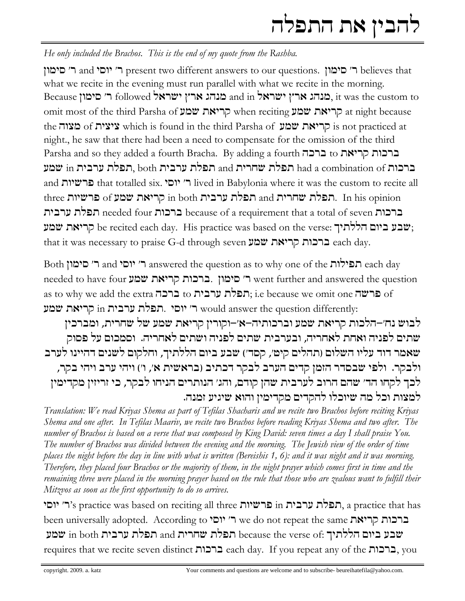## להבין את התפלה

*He only included the Brachos. This is the end of my quote from the Rashba.* 

ר' יוסי and ר' יוסי present two different answers to our questions. ר' סימון believes that what we recite in the evening must run parallel with what we recite in the morning.  $\rm\,Because$  מנהג ארץ ישראל  $\rm\,a$ ו bllowed מנהג ארץ ישראל  $\rm\,a$ d in מנהג ארץ ו $\rm\,a$ it was the custom to omit most of the third Parsha of שמע קריאת שמע when reciting קריאת שמע the סצוה of קריאת שמע s not practiced at הריאת הוא  $i$ s not practiced at night., he saw that there had been a need to compensate for the omission of the third Parsha and so they added a fourth Bracha. By adding a fourth **ברכות קריאה** to ברכות had a combination of תפלת שחרית and תפלת שהרית and המשע and ברשיות that totalled six. יוםי 'v lived in Babylonia where it was the custom to recite all  $t$ three תפלת שחרית in both הפלת ערבית. In his opinion ברכות because of a requirement that a total of seven תפלת ערבית שבע ביום הללתיך: be recited each day. His practice was based on the verse: שבע ביום הללתיך: that it was necessary to praise G-d through seven ברכות קריאת שמע

Both הפילות and יום answered the question as to why one of the ר' סימון each day needed to have four ר' סימון ברכות קריאת שמע went further and answered the question as to why we add the extra כרבית to ברבית i.e because we omit one כרשה ר' יוםי .הפלת ערבית in קריאת שמע would answer the question differently:

לבוש נח׳–הלכות קריאת שמע וברכותיה–א׳–וקורין קריאת שמע של שחרית, ומברכין שתים לפניה ואחת לאחריה, ובערבית שתים לפניה ושתים לאחריה. וסמכום על פסוק שאמר דוד עליו השלום (תהלים קיט׳, קסד׳) שבע ביום הללתיך, וחלקום לשנים דהיינו לערב ולבקר. ולפי שבסדר הזמן קדים הערב לבקר דכתיב (בראשית א', ו') ויהי ערב ויהי בקר, לכך לקחו הד׳ שהם הרוב לערבית שהן קודם, והג׳ הנותרים הניחו לבקר, כי זריזין מקדימין למצות וכל מה שיוכלו להקדים מקדימין והוא שיגיע זמנה.

*Translation: We read Kriyas Shema as part of Tefilas Shacharis and we recite two Brachos before reciting Kriyas Shema and one after. In Tefilas Maariv, we recite two Brachos before reading Kriyas Shema and two after. The number of Brachos is based on a verse that was composed by King David: seven times a day I shall praise You. The number of Brachos was divided between the evening and the morning. The Jewish view of the order of time places the night before the day in line with what is written (Bereishis 1, 6): and it was night and it was morning. Therefore, they placed four Brachos or the majority of them, in the night prayer which comes first in time and the remaining three were placed in the morning prayer based on the rule that those who are zealous want to fulfill their Mitzvos as soon as the first opportunity to do so arrives.*

ר' יוםי, a practice was based on reciting all three הפלת ערבית, a practice that has been universally adopted. According to 'יוםי we do not repeat the same ברכות קריאה שבע ביום הללתיך in both שמע מפלת שחרית and שמלת שהוא because the verse of: שמע requires that we recite seven distinct ברכות each day. If you repeat any of the ברכות, you